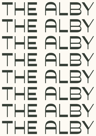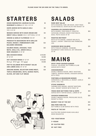# STARTERS

| HOUSE MARINATED LIGURIAN OLIVES,<br><b>ROSEMARY &amp; CHILLI GF VFG V DF NF</b>                                            | \$9                      |
|----------------------------------------------------------------------------------------------------------------------------|--------------------------|
| <b>CHIPS SERVED WITH GARLIC AIOLI</b><br>VFG V GF NF                                                                       | \$12                     |
| <b>WEDGES SERVED WITH SOUR CREAM AND</b><br><b>SWEET CHILLI SAUCE VEG V (OPTIONAL) GF NF</b>                               | \$14                     |
| <b>CHEESE &amp; GARLIC FLATBREAD VEG NF</b>                                                                                | \$12                     |
| PROSCIUTTO BOCCONCINI WITH GRILLED<br>PEACH, ROCKET, POMEGRANATE AND<br><b>BALSAMIC DRESSING</b>                           | \$22                     |
| <b>SALMON CRUDO, AVOCADO, YUZU</b><br>MAYO, CHILLI OIL, GREEN CHILLI,<br><b>NORI CRACKER GF DF NF</b>                      | \$22                     |
| <b>BBQ CHICKEN WINGS</b><br>DF GF NF                                                                                       | 1/2 KG \$10<br>1 KG \$18 |
| <b>HOT CHICKEN WINGS DF GF NF</b><br>MILDJ SPICYJJ HOTJJJ                                                                  | 1/2 KG \$10<br>1 KG \$18 |
| <b>FRITTO CALAMARI WITH ROCKET SALAD</b><br><b>AND LEMON AIOLI DF GF NF</b>                                                | \$18                     |
| <b>GRAZING BOARD, SELECTION CURED MEAT,</b><br>TRIPLE CREAM BRIE, NUTS, QUINCE PASTE,<br><b>OLIVES, DIP AND FLAT BREAD</b> | \$28                     |

# $\mathbb{L}_\mathbb{A}$

# SALADS

| <b>RARE BEEF SALAD</b><br>WITH SHAOXING, NAM JIM SAUCE, DEEP FRIED<br>GLASS NOODLES, ASIAN SALAD AND ROCKET DF                                    | \$24 |
|---------------------------------------------------------------------------------------------------------------------------------------------------|------|
| <b>CHARGRILLED CHICKEN BREAST</b><br>WITH QUINOA, FRIED BARLEY, ROASTED<br>CAPSICUM, SPINACH, MIXED VEGETABLES,<br><b>BASIL PESTO SAUCE DF NF</b> | \$23 |
| <b>ROASTED BEETROOT</b><br>WITH FETTA CHEESE, CANDIED WALNUTS,<br>ROCKET. CHERRY TOMATOES AND PARMESAN<br><b>VFG</b>                              | \$23 |
| <b>SCORCHED MISO SALMON</b><br>WITH PICKLED CABBAGE, EDAMAME,<br>BUCKWHEAT SOBA NOODLES, SOY DRESSING<br>DF NF                                    | \$25 |

# MAINS

| SPICY FRIED CHICKEN BURGER<br>PICKLES, JALAPENO, BUTTERMILK SLAW<br>SERVED WITH FRIES*                              | \$21 |
|---------------------------------------------------------------------------------------------------------------------|------|
| <b>CHEESEBURGER</b><br>DOUBLE SMOKED BACON, SWEET MUSTARD,<br>TOMATO, SPANISH ONIONS, CHEDDAR SERVED<br>WITH FRIES* | \$22 |
| <b>PORTOBELLO MUSHROOM BURGER</b><br>GORGONZOLA, MOZZARELLA, ROCKET, GARLIC<br>CHIPS. AIOLI VEG                     | \$23 |
| STEAK SANDWICH<br>CARAMELISED ONIONS. ANCIENT MUSTARD.<br>AIOLI, ROCKET SERVED WITH FRIES* DF                       | \$22 |
| <b>FRESH BEER BATTERED FISH &amp; CHIPS</b><br>SERVED WITH TARTAR SAUCE, LEMON DF GF                                | \$23 |
| <b>CHICKEN PARMIGIANA</b><br>DOUBLE SMOKED BACON, PROVOLONE DOLCE,<br><b>ROCKET &amp; FRIES</b>                     | \$26 |
| <b>MARKET FISH OF THE DAY</b>                                                                                       | \$30 |
| <b>BBO PORK RIBS 1KG</b><br>BUTTERMILK SLAW SERVED WITH FRIES                                                       | \$45 |
| <b>PASTA OF THE DAY</b>                                                                                             | \$24 |
| GLUTEN FREE BURGER BUNS AVAILABLE<br>WHEN REOUESTED                                                                 |      |
| <b>VEG-VEGETARIAN</b>                                                                                               |      |

V—VEGAN

GF—GLUTEN FREE

### NF—NUT FREE